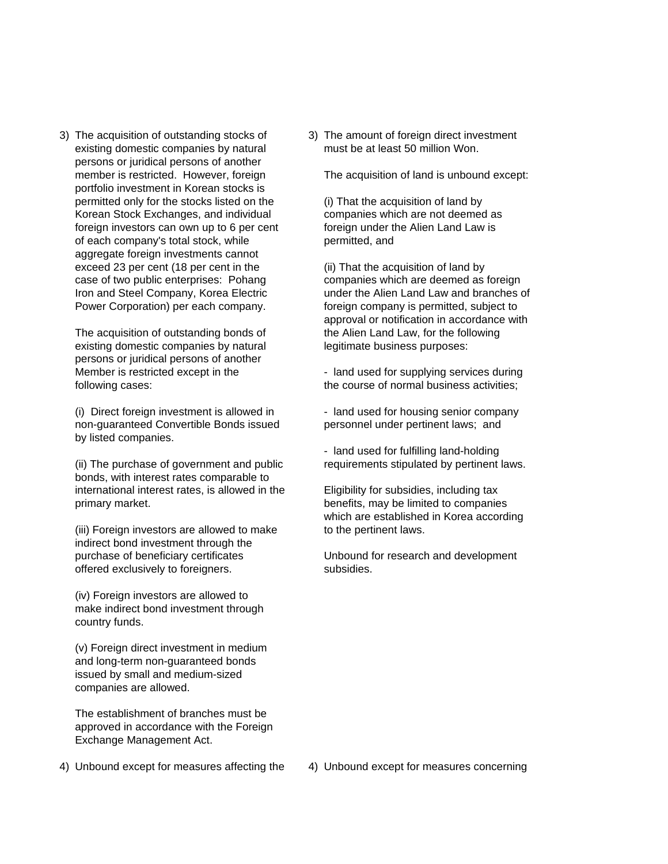existing domestic companies by natural must be at least 50 million Won. persons or juridical persons of another member is restricted. However, foreign The acquisition of land is unbound except: portfolio investment in Korean stocks is permitted only for the stocks listed on the (i) That the acquisition of land by Korean Stock Exchanges, and individual companies which are not deemed as foreign investors can own up to 6 per cent foreign under the Alien Land Law is of each company's total stock, while permitted, and of each company's total stock, while aggregate foreign investments cannot exceed 23 per cent (18 per cent in the (ii) That the acquisition of land by case of two public enterprises: Pohang companies which are deemed as foreign

existing domestic companies by natural legitimate business purposes: persons or juridical persons of another Member is restricted except in the - land used for supplying services during

(i) Direct foreign investment is allowed in - land used for housing senior company non-guaranteed Convertible Bonds issued personnel under pertinent laws; and by listed companies.

(ii) The purchase of government and public requirements stipulated by pertinent laws. bonds, with interest rates comparable to international interest rates, is allowed in the Eligibility for subsidies, including tax primary market. **benefits**, may be limited to companies

 $(iii)$  Foreign investors are allowed to make to the pertinent laws. indirect bond investment through the purchase of beneficiary certificates Unbound for research and development offered exclusively to foreigners. The subsidies.

(iv) Foreign investors are allowed to make indirect bond investment through country funds.

(v) Foreign direct investment in medium and long-term non-guaranteed bonds issued by small and medium-sized companies are allowed.

The establishment of branches must be approved in accordance with the Foreign Exchange Management Act.

3) The acquisition of outstanding stocks of 3) The amount of foreign direct investment

Iron and Steel Company, Korea Electric under the Alien Land Law and branches of Power Corporation) per each company. Foreign company is permitted, subject to approval or notification in accordance with The acquisition of outstanding bonds of the Alien Land Law, for the following

following cases: the course of normal business activities;

- land used for fulfilling land-holding

which are established in Korea according

4) Unbound except for measures affecting the 4) Unbound except for measures concerning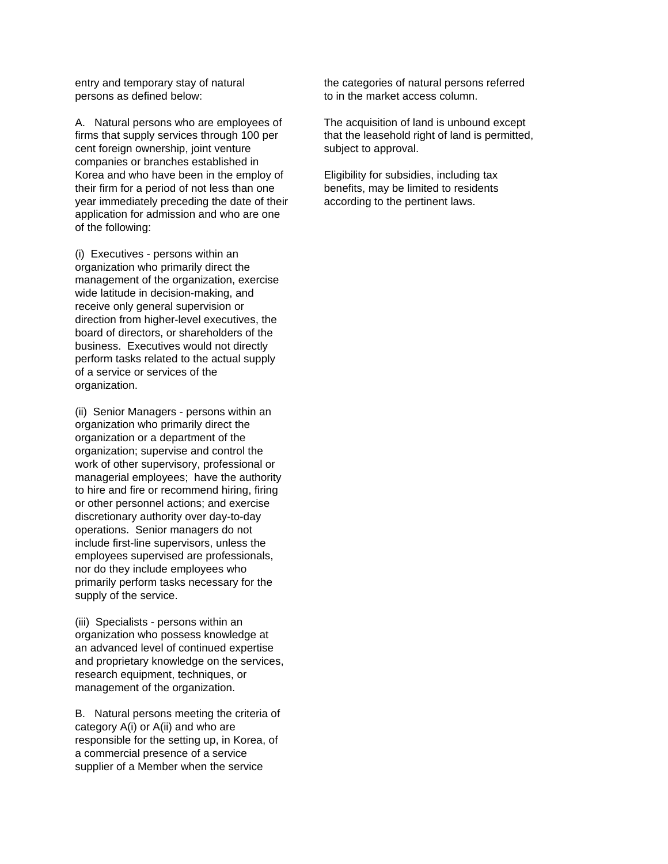persons as defined below: to in the market access column.

A. Natural persons who are employees of The acquisition of land is unbound except firms that supply services through 100 per that the leasehold right of land is permitted, cent foreign ownership, joint venture subject to approval. companies or branches established in Korea and who have been in the employ of Eligibility for subsidies, including tax their firm for a period of not less than one benefits, may be limited to residents year immediately preceding the date of their according to the pertinent laws. application for admission and who are one of the following:

(i) Executives - persons within an organization who primarily direct the management of the organization, exercise wide latitude in decision-making, and receive only general supervision or direction from higher-level executives, the board of directors, or shareholders of the business. Executives would not directly perform tasks related to the actual supply of a service or services of the organization.

(ii) Senior Managers - persons within an organization who primarily direct the organization or a department of the organization; supervise and control the work of other supervisory, professional or managerial employees; have the authority to hire and fire or recommend hiring, firing or other personnel actions; and exercise discretionary authority over day-to-day operations. Senior managers do not include first-line supervisors, unless the employees supervised are professionals, nor do they include employees who primarily perform tasks necessary for the supply of the service.

(iii) Specialists - persons within an organization who possess knowledge at an advanced level of continued expertise and proprietary knowledge on the services, research equipment, techniques, or management of the organization.

B. Natural persons meeting the criteria of category A(i) or A(ii) and who are responsible for the setting up, in Korea, of a commercial presence of a service supplier of a Member when the service

entry and temporary stay of natural the categories of natural persons referred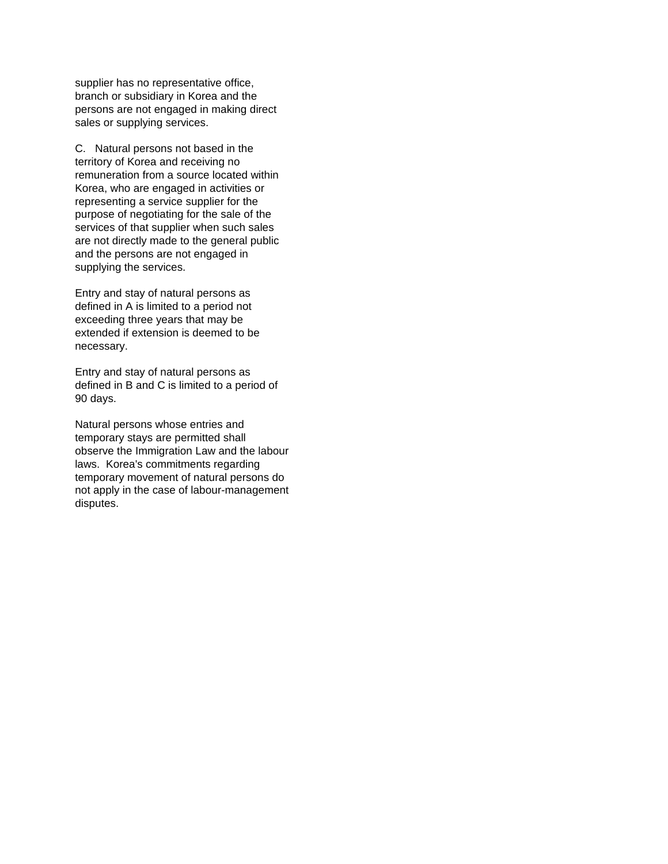supplier has no representative office, branch or subsidiary in Korea and the persons are not engaged in making direct sales or supplying services.

C. Natural persons not based in the territory of Korea and receiving no remuneration from a source located within Korea, who are engaged in activities or representing a service supplier for the purpose of negotiating for the sale of the services of that supplier when such sales are not directly made to the general public and the persons are not engaged in supplying the services.

Entry and stay of natural persons as defined in A is limited to a period not exceeding three years that may be extended if extension is deemed to be necessary.

Entry and stay of natural persons as defined in B and C is limited to a period of 90 days.

Natural persons whose entries and temporary stays are permitted shall observe the Immigration Law and the labour laws. Korea's commitments regarding temporary movement of natural persons do not apply in the case of labour-management disputes.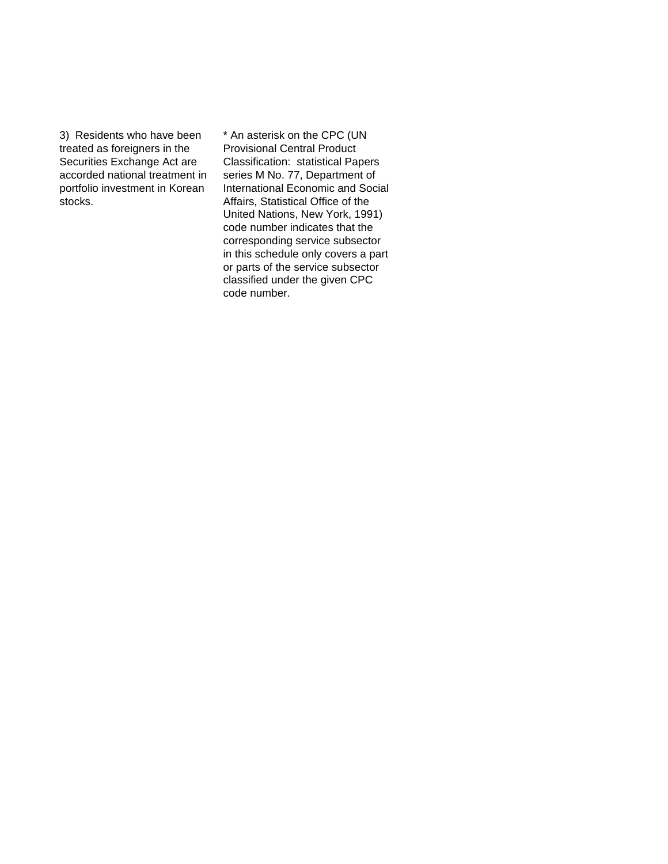3) Residents who have been \* An asterisk on the CPC (UN treated as foreigners in the Provisional Central Product

Securities Exchange Act are Classification: statistical Papers accorded national treatment in series M No. 77, Department of portfolio investment in Korean International Economic and Social stocks. **Affairs**, Statistical Office of the United Nations, New York, 1991) code number indicates that the corresponding service subsector in this schedule only covers a part or parts of the service subsector classified under the given CPC code number.